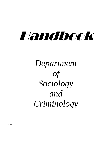# Handbook

# *Department of Sociology and Criminology*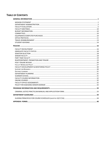# **TABLE OF CONTENTS**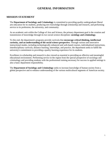# **GENERAL INFORMATION**

# <span id="page-2-1"></span><span id="page-2-0"></span>**MISSION STATEMENT**

The **Department of Sociology and Criminology** is committed to providing quality undergraduate liberal arts education for its students, producing new knowledge through scholarship and research, and performing service to its profession, the university, and community.

As an academic unit within the College of Arts and Science, the primary department goal is the creation and transmission of knowledge through its two social science disciplines: **sociology and criminology**.

To this end, the department's programs provide curricula that **encourage critical thinking, intellectual curiosity, and an understanding of the social science perspective.** Through various and innovative instructional modes, including technologically enhanced and web-based courses, individualized instructions, interdisciplinary curricula, distance learning, internships, and practice, the department seeks to fulfill the university's commitment to providing a quality learning experience for its students.

Excellence in scholarship and research is also viewed as essential to providing an effective and meaningful educational environment. Performing service in the region from the special perspective of sociology and criminology and providing students with the professional training necessary for success in applied settings is also a basic department responsibility.

The **Department of Sociology and Criminology** seeks to increase knowledge of human society from a global perspective and to enhance understanding of the various multicultural segments of American society.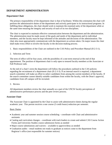# <span id="page-3-0"></span>**DEPARTMENT ADMINISTRATION**

#### **Department Chair**

The primary responsibility of the department chair is that of facilitator. Within this orientation the chair will perform the administrative duties of the department and actively participate in its instructional programs. In fulfilling these obligations, the chair should work to maintain the essential unity of the department while at the same time ensuring the integrity and security of each of its two disciplines.

The chair is expected to maintain effective communication between the department and the administration. The administration must be made aware of the goals and needs of the department and its individual members, and the faculty must be kept informed of the attitudes and decisions of the administration. The chair also must appropriately communicate with the department on actions taken. On major issues the chair shall make every effort to involve the faculty in the decision-making process.

1. Basic responsibilities of the Chair are outlined in the CAS Policy and Procedure Manual (II-2-3-1).

#### 2. Selection and Term

The term of office will be four years, with the possibility of a one-term renewal at the end of that appointment. The position of department chair is only open to tenured faculty members at the Associate or Full Professor rank.

At the end of a chair's term the department will follow the procedures outlined in the CAS policies regarding the recruitment of a department chair (II-2-3-3). If an internal search is required, a department search committee will make an effort to select candidates from among the current members of the faculty. If the search committee cannot identify suitable candidates from within the faculty, with the Dean's approval, candidates from off campus will be recruited.

3. Review

All department members review the chair annually as a part of the UNCW faculty perceptions of administrative performance process and the peer review process.

#### **Associate Chair**

The Associate Chair is appointed by the Chair to assist with administrative duties during the regular academic year. This person receives a one course (3 credit hours) reduction per semester.

#### Basic Duties

- Academic year and summer session course scheduling coordinate with Chair and administrative assistants
- Catalog and curriculum changes coordinate with track leaders to create and submit CAS Course Action Forms and University Studies course submission forms as needed
- Major course substitutions and waivers available to approve/deny as needed
- Graduation audits email students not ready to graduate as notices come to the department from Registrar's office (not responsible for summer notices)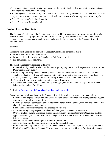- Transfer advising recruit faculty volunteers, coordinate with track leaders and administrative assistants (not responsible for summer sessions)
- Recruiting events recruit faculty volunteers for Seahawk Saturday Academics and Student Services Fair (Sept), UNCW Majors/Minors Fair (Sept), and Seahawk Preview Academic Departments Fair (April)
- Chair, Department Curriculum Committee
- Chair, Department Budget Committee

#### **Graduate Program Coordinator**

The Graduate Coordinator is the faculty member assigned by the department to oversee the administrative aspects of the master's program in criminology and sociology. The coordinator receives a one-course (3 hour) reduction per semester in teaching load, and a small salary stipend from the Graduate School for summer duties.

## Selection

In order to be eligible for the position of Graduate Coordinator, candidates must:

- be a member of the Graduate Faculty
- be a tenured faculty member at Associate or Full Professor rank
- and commit to a three-year term.

The selection process will proceed as follows:

- 1. Interested faculty members who meet the basic eligibility requirements will express their interest to the Department Chair privately
- 2. From among those eligible who have expressed an interest, and others whom the Chair considers suitable candidates, the Chair will, in consultation with the outgoing graduate program coordinator(s), select (a) candidate(s) to be nominated to the department. This is a confidential process
- 3. The chair will nominate at least one candidate to the department
- 4. All department faculty members with voting privileges (tenured and tenure-track) will vote by secret ballot on the candidate(s) offered

Duties [\(http://www.uncw.edu/gradschool/coordinators/index.html\)](http://www.uncw.edu/gradschool/coordinators/index.html)

In addition to the duties outlined by the Graduate School, the graduate program coordinator will also…

- Review all non-degree applications and, where feasible, consult with members of the graduate program committee on non-degree admissions
- Review application status reports provided to them by the Graduate School, with possible e-mail and/or phone follow-up contact with applicants
- E-mail and phone correspondence with prospective students
- Assist in meeting with prospective students and their parents when on campus visits
- Oversee graduate faculty application process in consultation with the Department Chair, and see that applications are signed by the Dean of the College of Arts & Sciences and forwarded to the Graduate School for action
- Oversee thesis defense and comprehensive exam procedures.
- Attend graduate coordinators' meetings held by the Graduate School
- Provide the following reports to the dean of the Graduate School when requested: annual report on the Monitoring and Training of Graduate Teaching Assistants required by General Administration; annual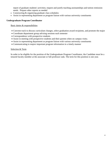report of graduate students' activities; request and justify teaching assistantships and tuition remission needs. Prepare other reports as needed

- Constructing & organizing graduate class schedules
- Assist in representing department as program liaison with various university constituents

#### **Undergraduate Program Coordinator**

#### Basic duties & responsibilities

- Convene track to discuss curriculum changes, select graduation award recipients, and promote the major
- Coordinate department group advising sessions each semester
- Correspondence with prospective students
- Assist in meeting with prospective students and their parents when on campus visits;
- Assist in representing department as program liaison with various university constituents
- Communicating to majors important program information in a timely manner

#### Selection & Term

In order to be eligible for the position of the Undergraduate Program Coordinator, the Candidate must be a tenured faculty member at the associate or full professor rank. The term for this position is one year.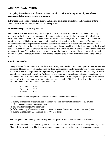# <span id="page-6-0"></span>**FACULTY EVALUATION**

#### **This policy is consistent with the University of North Carolina Wilmington Faculty Handbook requirements for annual faculty evaluations.**

**I. Purpose:** This policy establishes general and specific guidelines, procedures, and evaluation criteria for annual evaluations of faculty conducted in the department.

#### **II. Persons/Scope:** All faculty members

**III. General Guidelines:** By July 1 of each year, annual written evaluations are provided to all faculty members by the departmental chairperson. Recommendations for merit salary increases, if applicable, rely heavily on the most recent written evaluations. To ensure consistency, each full-time faculty member will provide a report of his/her professional activities each year for review by the chairperson. This annual report will address the three major areas of teaching, scholarship/research/artistic activities, and service. The evaluation of faculty by the chair draws from peer evaluations of teaching, scholarship/research activities, and service; student evaluations of teaching; and each faculty member's summary of his/her professional work for the academic year. The evaluation will consider each of the three areas separately, and an overall evaluation will be included. Each faculty member also has the opportunity to provide a self-evaluation in their annual report.

#### **A. Full Time Faculty**

Every full-time faculty member in the department is required to submit an annual report of their professional activities. This annual report must address the three major areas of teaching, scholarship/research activities, and service. The annual productivity report (APR) is generated from individualized online survey responses submitted by each faculty member. The faculty is also required to provide supporting documentation (as detailed below). Within the APR, every faculty member must indicate the percentage of their effort devoted to each of the three work areas, with the total percentage equaling 100. The efforts devoted to each area should reflect the minimum percentages, which are:

|           | Teaching:<br>60% |
|-----------|------------------|
| Research: | 20%              |
| Service:  | 10%              |

Faculty members who are permitted exceptions to the above minima include:

(1) faculty members on a teaching load reduction based on service/administrative (e.g., graduate coordinator) and/or research reassignment;

(2) full-time lecturers (100% Teaching);

(3) full-time faculty who are not research active (0% Research in current or previous years); and

(4) faculty members in phased retirement (100% Teaching).

The chairperson will identify these faculty members prior to annual peer evaluation procedures.

The period of review covers teaching, research, and service activities from April 30 of the previous year to May 1 of the current year. The documentation of research covers the three preceding academic years.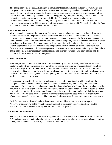The chairperson will use the APR as input in annual merit recommendations and annual evaluations. The chairperson also provides an annual written evaluation of each faculty member. The evaluation addresses each of the three workload areas, and will include information drawn from student evaluations as well as peer evaluations. The faculty member shall have the opportunity to reply in writing to the evaluation. The complete evaluation process must be concluded by July 1 of each year. Recommendations for reappointment, tenure, and promotion (RTP) also rely on the annual cumulative written evaluations, however the procedures for RTP actions are outlined separately within the UNCW Faculty Handbook. Thus, annual evaluations are to be included in RTP dossiers.

#### **B. Part-Time Faculty**

Written annual evaluations of all part-time faculty who have taught at least one course in the department over the prior year will be provided by the chairperson. The evaluation shall be based on IDEA scores, review of course materials, and classroom observations conducted by two senior faculty members per year. In online classes, the senior faculty observer will be granted temporary access to the class materials in order to evaluate the instruction. The chairperson's written evaluation will be given to the part-time instructor with an opportunity to discuss as needed and a copy of the evaluation shall be placed in the instructor's department file. As needed, a follow-up supervisory conversation with the part-time faculty member and the chairperson will monitor the required modifications and their effectiveness. This conversation and its content will be documented by the chairperson.

#### **C. Peer Observation**

Assistant professors must have their instruction evaluated by two senior faculty members per semester. Lecturers and part-time instructors must have their instruction evaluated by two senior faculty members each academic year. Senior Lecturers are not required to have their instruction observed. The individual being evaluated is responsible for scheduling the observation at a time convenient to both the observers and the instructor. Observer assignments are arranged by the chair and will take into consideration equitable workloads among senior faculty.

Observers are responsible for writing up a classroom observation report and providing copies to the chairperson and the person being observed. Observers may choose any method they like to record their impressions of the class visited. Many observers find that taking "narrative" notes during the class roughly simulates the students' experience in class, while allowing for evaluative notes. As soon as possible after an observation is completed, each observer should review the observation notes and record their impressions. The report should reflect a balanced picture of the instructor's teaching, specifying areas of particular effectiveness as well as areas that could be improved (and suggestions for carrying out the improvement.)

Each faculty member observed and the department chair should receive a copy of your report. Approval or disapproval of the evaluation is not required. If the person observed disagrees with the evaluation, a summary statement may be submitted to the chairperson.

#### **D. Chairperson Evaluation**

The department chairperson follows the same guidelines and procedures as the other full-time faculty for APR and supplemental materials submission. Peer evaluations of the chairperson's materials are submitted directly to the associate chairperson, who forwards them to the Dean.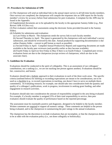#### **IV. Procedures for Submission of APR**

(1) The chairperson will send an individual link to the annual report survey to all full-time faculty members. Once surveys are completed, the chairperson will compile the responses into an APR report for the faculty member's review for accuracy before final submission for peer evaluation. A template for the APR may be found in the Appendix.

(2) Supplemental documents are to be uploaded by the faculty to the appropriate Sammy folder (e.g., Peer Review APR AY20xx-xx).

(3) Peer evaluators submit their assessments using the electronic forms provided (located in the Sammy folder).

(4) Schedule for submission and evaluation:

(a) Last Friday in March: The chairperson sends the survey link to each faculty member.

(b) Second Thursday in April: The report is generated by the chairperson with each individual's survey submission, and should be reviewed by this date. Annual productivity supporting documentation is due online (Sammy folder – convert to pdf format as much as possible).

(c) Second Friday in April: Compiled Annual Productivity Reports and supporting documents are made available to the faculty peer reviewers (and possibly earlier as they become available).

(d) Fourth Friday in April (or first Friday in May if there is no fourth Friday): Completed peer review evaluation forms are due to the chairperson (except reviews of chairperson, which are due to the associate chair).

#### **V. Guidelines for Evaluation**

Evaluations should be conducted in the spirit of collegiality. This is an assessment of our colleagues' contributions, not a ranking (i.e., we are not stacking one person against another). Evaluations should be fair, constructive, and honest.

Evaluators should take a holistic approach to their evaluations in each of the three work areas. The specific criteria (outlined below) for meeting or exceeding expectations are meant to be considerations, not to be used as a checklist (e.g., to exceed expectations in teaching, one doesn't have to serve on multiple thesis committees). In evaluating research, for example, one should take into consideration both the quantity and quality of a colleague's publications, work in progress, involvement in seeking grant funding, and other engagement in research activities.

Evaluators should take into consideration the amount of responsibility assigned in the area being evaluated. For example, if a faculty member is assigned 25% of their total responsibility to service, then peer evaluators should evaluate the quality of performance based on the reported percentage.

The assessment must be essentially positive and diagnostic, designed to be helpful to the faculty member. Written comments are required to support all numeric ratings. These comments are helpful to the person being evaluated, and to the chairperson in summarizing the peer ratings in the annual evaluations.

The chairperson has the discretion to exclude evaluations that are incomplete, or that the chairperson deems to be at odds with the evaluation policy (i.e., not done collegially or holistically).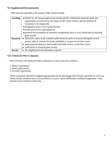#### **VI. Supplemental Documentation**

APR materials uploaded to the Sammy folder should include:

| <b>Teaching</b> | • Syllabi for all classes taught (must include specific information about the goals and    |  |  |  |
|-----------------|--------------------------------------------------------------------------------------------|--|--|--|
|                 | requirements of each course, the nature of the course content, and the methods of          |  |  |  |
|                 | evaluation to be employed);                                                                |  |  |  |
|                 | • assignments (one or two representative);                                                 |  |  |  |
|                 | • exams (one or two representative);                                                       |  |  |  |
|                 | • optional documentation of innovative assignments (one or two); notification of teaching  |  |  |  |
|                 | grant awards                                                                               |  |  |  |
| <b>Research</b> | • Electronic copies of all scholarly publications (in print or in press) during the review |  |  |  |
|                 | period; table of contents for books published or in press in last three years;             |  |  |  |
|                 | • grant proposal abstracts, both funded and under review, in last three years;             |  |  |  |
|                 | • notification of research grant awards                                                    |  |  |  |
| <b>Service</b>  | • No supplemental documentation required                                                   |  |  |  |

#### **VII. Criteria for Peer Evaluation**

Peer reviewers will summarize their evaluations in each work area as follows:

- 1: Below expectations
- 2: Meets expectations
- 3: Exceeds expectations

These evaluations should be weighted appropriately by the percentage effort faculty specified for each area. Where faculty members have 0 percent effort in an area—given differential workload assignments—they should not be evaluated in that area.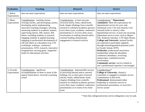| <b>Evaluation</b>          | <b>Teaching</b>                                                                                                                                                                                                                                                                                                                                                                                                                                                                                                                                                                               | <b>Research</b>                                                                                                                                                                                                                                                                                                                                                     | <b>Service</b>                                                                                                                                                                                                                                                                                                                                                                                                                                                                                                                                                                                                                                                                                                                                                          |
|----------------------------|-----------------------------------------------------------------------------------------------------------------------------------------------------------------------------------------------------------------------------------------------------------------------------------------------------------------------------------------------------------------------------------------------------------------------------------------------------------------------------------------------------------------------------------------------------------------------------------------------|---------------------------------------------------------------------------------------------------------------------------------------------------------------------------------------------------------------------------------------------------------------------------------------------------------------------------------------------------------------------|-------------------------------------------------------------------------------------------------------------------------------------------------------------------------------------------------------------------------------------------------------------------------------------------------------------------------------------------------------------------------------------------------------------------------------------------------------------------------------------------------------------------------------------------------------------------------------------------------------------------------------------------------------------------------------------------------------------------------------------------------------------------------|
| 1. Below<br>Expectations   | does not meet expectations                                                                                                                                                                                                                                                                                                                                                                                                                                                                                                                                                                    | does not meet expectations                                                                                                                                                                                                                                                                                                                                          | does not meet expectations                                                                                                                                                                                                                                                                                                                                                                                                                                                                                                                                                                                                                                                                                                                                              |
| 2. Meets<br>Expectations   | Considerations: teaching classes,<br>revising courses, and developing courses,<br>developing and/or implementing<br>innovative teaching strategies; advising,<br>mentoring students in academic matters;<br>supervising interns, DIS, honors, MA<br>theses; including students in research;<br>engaging students in applied learning;<br>engaging in professional development of<br>self and others in a discipline (e.g., CTE<br>workshops, webinars, conference<br>presentations, SOTL research, innovative<br>assignments); securing grant -supported<br>funds for educational activities. | Considerations: at least one peer<br>reviewed article, book, edited book,<br>book chapter (findings from scientific<br>research in scholarly/academic presses)<br>every three years; academic conference<br>presentations $(1-2)$ every three years;<br>involvement in seeking internal and/or<br>external funding, demonstrates<br>engagement in research activity | <b>Considerations: * Department</b><br>committees: Meet the expectations for<br>departmental service for your rank<br>(minimum score 3 for non-tenured, 6 for<br>tenured) (refer to matrix); other<br>departmental service: at least one recurring<br>department service event, such as Majors<br>Fair, Seahawk Saturday, CAS Open House;<br>College and University: tenured faculty<br>are expected to participate regularly<br>through elected/appointed positions (such<br>as Faculty Senate, RTP);<br>Profession: professional association<br>membership within the discipline,<br>conference attendance, reviewing<br>manuscripts, committee/section<br>involvement;<br><b>Community service:</b> service related to<br>one's professional expertise is encouraged |
| 3. Exceeds<br>Expectations | Considerations: significant<br>accomplishments in three or more of the<br>aspects listed above; received a teaching<br>award                                                                                                                                                                                                                                                                                                                                                                                                                                                                  | Considerations: demonstrable success<br>in procuring internal and/or external<br>funding; two or more peer reviewed<br>articles, books, edited books, book<br>chapters (findings from scientific<br>research in scholarly/academic presses)<br>every three years; academic conference<br>presentations (3 or more) every three<br>years                             | Considerations:*<br>College or University: chaired a<br>committee or engaged in multiple service<br>commitments at that level;<br>Professional: demonstrated either<br>leadership or extensive service to<br>professional associations, or received a<br>service award                                                                                                                                                                                                                                                                                                                                                                                                                                                                                                  |

\* Note that college/university service obligations vary by rank.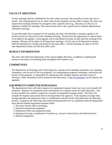# <span id="page-11-0"></span>**FACULTY MEETINGS**

Faculty meetings shall be scheduled by the chair when necessary, but normally no more than once a month. The meeting shall be set at a time when faculty members are best able to attend. The chair may request that teaching schedules be arranged so that a specific time (e.g., Thursday at 3:30 p.m.) is regularly available for meetings. This reserved time slot is also a good time to schedule departmental committee meetings.

To provide ample time to prepare for the meeting, the chair will distribute a tentative agenda to all faculty at least two days prior to the scheduled meeting. Faculty have the opportunity to request topics to be added to the agenda. A final agenda will be distributed to faculty no later than the morning of the meeting. Minutes will be taken of all department meetings. A hard copy of all department minutes shall be maintained in a binder and placed in the main office. Faculty meetings are open to all fulltime department faculty and full-time office staff.

## <span id="page-11-1"></span>**BUDGET INFORMATION**

The chair will inform the department of the annual budget allocation, in addition to updating the faculty on the status of remaining funds throughout the academic year.

## <span id="page-11-2"></span>**COMMITTEES**

The Department of Sociology and Criminology has, among several standing committees, two standing committees, one for each of the two programs. An undergraduate program coordinator, selected by the faculty in that program, is responsible for organizing class schedule requests and other issues of relevance. Other committees will be formed as the need arises. A [list of committees](#page-55-0) can be found in the appendix.

# <span id="page-11-3"></span>**EQUIPMENT/COMPUTER PURCHASES**

The departmental chair will solicit requests for equipment/computer items once each year (usually fall semester). Requests for equipment items and requests for computer needs are made separately. Any faculty member may submit a request for a portion of equipment/computer funds. The chair will compile the requests and present them to the department for approval. If the requests are larger than the appropriation, the department chair in collaboration with the faculty shall determine the allocation priority. In general, the following rank-ordered listing should serve as a guideline when the department must allocate limited equipment/computer funds:

- 1. Necessary faculty office furnishings.
- 2. Required instructional equipment.
- 3. Department office and equipment needs.
- 4. Equipment serving a combination of needs (e.g., research, instructional, and administrative).
- 5. Research equipment.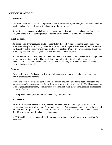# <span id="page-12-0"></span>**OFFICE PROTOCOL**

#### **Office Staff**

The Administrative Assistants shall perform duties as prescribed by the chair, in coordination with the faculty, and consistent with the official administrative work plans.

If a staff vacancy occurs, the chair will select a committee of two faculty members, one from each program, to assist in the search process. The final employment decision will be the chair's.

#### **Work Requests**

All office-related work requests are to be recorded in the work request log in the main office. The work material is placed in the tray under the log sheet. Work requests that do not follow this process are disruptive to the office workflow and are likely to get lost. Do not give work requests directly to work/study students. Always give a due date and time on work requests.

If work requests are emailed, they should be sent to both office staff. This prevents work being missed in case one is not in the office. The email should have clear directions including what needs to be done, when it is due, and the number of copies to be made., and, if it's an exam, whether or not answer sheets are needed.

#### **Copying**

Each faculty member's ID cards will work in all photocopying machines in Bear Hall and in the library photocopying machine.

Exams and work requests with confidential information should be emailed to **both office staff** and once they complete the assignment they will lock the information in your faculty file. Please note that no undergraduate student may be involved in preparing, collating, distributing, grading, or shredding exams for faculty.

Course packet copying fees will be handled through the Bookstore.

#### **Other Services**

Please inform the **both office staff** if you need to cancel, relocate, or change a class. Relocations or changes in a class must follow CAS Policy and approvals. With adequate notice, they will make and post cancellation signs outside the classroom. The office staff will check their voicemail and email first thing in the morning for class cancellation notices.

A FAX machine, and computer with color printer, and scanner are available in the main office for faculty use.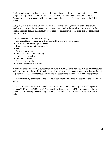Audio-visual equipment should be reserved. Please do not send students to the office to get AV equipment. Equipment is kept in a locked file cabinet and should be returned there after use. Promptly report any problems with AV equipment to the office staff and put a note on the failed machine.

Out-going inter-campus and US mail can be placed in the mailbag in the bin within the faculty mailboxes. This mail leaves the department every day. Mail is delivered at 11:00 a.m. every day. Special mailings through the campus post office need the approval of the chair and the department account number.

The office assistants handle the following:

- Copier problems- (please leave them a note if the copier breaks at night)
- Office supplies and equipment needs
- Travel requests and reimbursements
- Budget
- Assigning Advisees
- Class and classroom scheduling
- Student correspondence
- Classroom space issues
- Physical plant needs
- Human Resources Paperwork

If you have problems with lights, room temperature, rats, bugs, locks, etc. you may do a work request online or report it to the staff. If you have problems with your computer, contact the office staff or the help desk (x4357). Notify campus security and the department chair of security or safety problems.

Most forms used by faculty are online. Copies of some forms are in the file cabinet in the department office.

Local and long distance FAX and telephone services are available to faculty. Dial "9" to get off campus, "9-1" to make "800" call, "1" to make long distance calls, and "0" for operator (who can connect you to the telephone company operator). These resources come out of the departmental budget.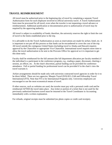# <span id="page-14-0"></span>**TRAVEL REIMBURSEMENT**

All travel must be authorized prior to the beginning day of travel by completing a separate Travel Authorization form for each employee involved in official university travel. A Travel Authorization form must be processed for all travel, even when the traveler is not requesting a travel advance or reimbursement. Additional justification or documentation prior to authorization of travel may be required by the approving authority.

All travel is subject to availability of funds; therefore, the university reserves the right to limit the cost of travel to the limits established prior to the trip.

It is advisable to do the Travel Authorization as soon as reservations are made for airfare, hotel, etc. It is important to not put off this process so that funds can be encumbered to cover the cost of the trip. All travel outside the contiguous United States (including travel to Alaska and Hawaii) requires approval by the Chancellor or appropriate Vice Chancellor. International travel requires more time to allow the travel authorization to be sent to the Provosts Office for approval so it is important to get this done early.

Faculty shall be reimbursed for the full amount (the full department allocation per faculty member) if the individual is a participant in the conference program, e.g., reading a paper, discussant, chairing a session, an officer, etc. At the chair's discretion, partial funding can be provided for conference attendance. Full or partial funding for professional travel can be provided if in the chair's view the travel warrants it.

Airfare arrangements should be made only with university contracted travel agencies in order for it to be direct billed. There are two agencies: Maupin Travel (919) 821-2146 and Fellowship Travel International (FTI). Note that FTI is for International Programs only. University employees are encouraged to use the most economical means of travel.

If other sources, such as websites are used, the traveler must pay with a personal credit card and be reimbursed AFTER the travel takes place. Any ticket or portion of a ticket that is not used for the previously authorized business travel must be returned to the Travel Coordinator in Accounting immediately with a written explanation.

For refunds, original receipts must be submitted (no photo copies or credit card receipts).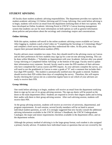# <span id="page-15-0"></span>**STUDENT ADVISING**

All faculty share student academic advising responsibilities. The department provides two options for student academic advising: [1] Online Advising and [2] Group Advising. One week before advising is to begin, students will receive an email from the department notifying them of their two options. We have developed an Online Academic Advising Portal in UNCW's Canvas learning management system that students can use for more information on both options as well as general information about policies and procedures about the sociology and criminology majors and concentrations.

#### **Online Advising**

With this option, students self-enroll in the online academic advising course available on Canvas. After logging in, students watch a brief video on "Completing the Sociology or Criminology Major" and complete a brief survey indicating that they understood the video. At this point, they may request their personal identification numbers (PIN).

Faculty advisers must complete two steps. First, they should enroll in the advising course on Canvas and set their preferences for how students may sign up for a one-on-one advising meeting. This can be done within Modules-->"Schedule an Appointment with your Academic Advisor after you attend Group Advising or Completed Online Advising" at the bottom of the page. Faculty need to update their information every semester. Second, faculty need to enter the PIN numbers of their advisees who have completed the Canvas course and PIN request. As your advisees complete the survey, you will need to use the gradebook in Canvas to enter a grade of "0" and a comment that includes their four-digit PIN number. The student is automatically notified once the grade is entered. Students should receive their PIN within three days of completing the survey. Therefore, this will require faculty checking the Canvas site on a somewhat regular basis to see which of your advisees are ready to receive their PIN.

#### **Group Advising**

One week before advising is to begin, students will receive an email from the department notifying them to sign up for one of six group advising sessions. The sign-up sheets will be posted on the doors to the main department office. Students are required to review their degree audits and to bring their audits with them to their group advising session. After each advising session, students will receive their PIN.

At the group advising sessions, students will receive an overview of university, departmental, and program requirements. At each session, several faculty members will be on hand to answer individual student questions, as well. It is strongly suggested that new faculty consult the additional advising information available in the UNCW Advisor's Handbook; the UNCW Undergraduate Catalogue; the major and minor requirements checklists available in the department office, and on the department website.

Although the primary method of advising is in the large-group format, each student is also assigned a primary faculty advisor. If students have individual issues or questions that are not covered by the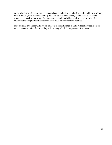group advising sessions, the students may schedule an individual advising session with their primary faculty advisor, after attending a group advising session. New faculty should consult the above resources or speak with a senior faculty member should individual student questions arise. It is important that we provide students with accurate and timely academic advice.

New assistant professors will have no advisees their first semester and a reduced advisee list their second semester. After that time, they will be assigned a full complement of advisees.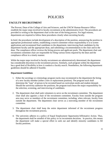# **POLICIES**

# <span id="page-17-1"></span><span id="page-17-0"></span>**FACULTY RECRUITMENT**

The Provost, Dean of the College of Arts and Sciences, and the UNCW Human Resource Office establish the major steps involved in faculty recruitment at the administrative level. The procedures are provided in writing to the department chair at the start of the hiring process. For legal reasons, departments are required to follow these procedures closely when recruiting faculty.

In brief, the procedures include development of a description of the position, announcing the position in appropriate professional outlets, establishing a search committee whose responsibility it is to screen applications and recommend final candidates to the department, interviewing final candidates by the department faculty and the appropriate dean, and submitting a recommendation to the chair and to the dean. The compliance officer reviews the hiring process and applicant pools. The department chair and recruitment committee chair are responsible for filing various forms required by the dean and the compliance officer in a timely manner.

While the major steps involved in faculty recruitment are administratively determined, the department has considerable discretion in the recruitment process. Similarly, each program within the department has a good deal of flexibility in how it conducts a faculty search. Nonetheless, the following department guidelines should be adhered if feasible.

#### **Department Guidelines**

- 1. Either the sociology or criminology program tracks may recommend to the department the hiring of a new faculty member (either a new or replacement position). The program track shall determine the "type" of person to be recruited based on curriculum needs and student demand. Should the university authorize the positions, the program track bears the major responsibility for the selection, screening, and interviewing of candidates.
- 2. The department chair shall seek volunteers to serve on the recruitment committee. The department chair shall also appoint a chair of the recruitment committee. Faculty from outside the program area may serve as members of the recruitment committee, including, when relevant, faculty from outside the department. The department chair serves as a nonvoting member of the recruitment committee.
- 3. The department chair shall keep the entire department informed of the recruitment progress throughout the recruitment process.
- 4. The university adheres to a policy of Equal Employment Opportunity/Affirmative Action. Thus, the department shall be mindful of this policy in its recruitment decisions. In practice, this means the department will make a special effort to seek out and identify minority candidates to fill faculty positions.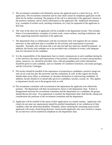- 5. The recruitment committee will ultimately narrow the applicant pool to a short list (e.g., 10-15 applicants). The recruitment committee and its chair shall contact by telephone applicants on the short list for further screening. The purpose of the call is to determine if the applicant's interest in the position continues, and to clarify information in the applicant's file. Additional information (e.g., examples of written work, teaching evaluation, etc.) may be requested of the applicants at this time.
- 6. The vitae of the short list of applicants will be available to the department faculty. This includes letters of recommendation, examples of written work, course outlines, teaching evaluations, and other supporting materials requested of the applicants.
- 7. The department chair in collaboration with the recruitment chair will organize the on-campus interview so that sufficient time is available for all activities and expectations to proceed smoothly. Normally, this will mean that a one and one-half day interview should be planned. In addition, the faculty and candidate are to be provided with a schedule of events, with adequate time for relaxation for the candidate.
- 8. It is the responsibility of the department chair to clearly communicate to each candidate during his or her interview the nature and expectations of the position. Information on tenure and promotion, salary, resources, etc. should be provided. Also, relevant pamphlets and written information should be given to each candidate, such as Chamber of Commerce brochures, real estate packages, and the University Catalogue.
- 9. The faculty should be mindful of the importance of projecting to candidates a positive image not only of our work but also the university and the community as well. In this regard, the faculty should make every effort, at minimum, to introduce themselves to interviewing candidates. In addition, faculty should try to attend talks given by candidates, lunches, socials, etc. This applies to department faculty not in the program track as well.
- 10. The recruitment committee will recommend to the department the applicant to be offered the position. The department will then recommend its choice to the department chair. If there is disagreement between the recruitment committee and the department on a candidate, the groups should discuss the issue. If no agreement is reached, the department chair shall decide, taking into consideration the positions of the recruitment committee and the department.
- 11. Applicants will be notified of the status of their applications in a timely manner. Applicants who clearly do not meet our requirements should be notified immediately of our withdrawal of their candidacy after the advertised deadline. Normally, letters notifying the remaining unsuccessful applicants will await a final hiring decision. Unsuccessful applicants who were invited to campus for an interview will be notified by telephone by the department chair.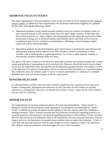# <span id="page-19-0"></span>**GRADUATE FACULTY STATUS**

The basic requirements to become graduate faculty at the university level are outlined by the Graduate [School's policy.](http://uncw.edu/gradschool/council/graduatefacultycriteria.html) In addition to these requirements, the department determines eligibility for graduate faculty status utilizing the following criteria:

- Department graduate faculty should normally publish at least two articles of scholarly merit in a peer-reviewed journal or one scholarly book every five years. Major scholarly works other than peer-reviewed articles (i.e., book chapters and monographs) should satisfy the requirement. Other professional writing such as technical reports, encyclopedia entries and book reviews may be considered as part of one's scholarly accomplishments. Obtaining external funding is highly valued and will be viewed favorably.
- Department graduate faculty shall maintain active involvement in professional associations at the international, national and/or regional level. This includes a research presentation or other activities such as holding office, organizing sessions, etc. at one or more regional, national, or international scientific meeting within five years.

The spirit of the above criteria is to be inclusive rather than exclusive and to fully recognize the various means and methods of maintaining an active scholarly life. However, should the above criteria clearly not be met, the department chair and members of the department graduate faculty will conduct a review of the applicant. Any special circumstances will be considered in the formulation of a recommendation. The committee, may, for instance, agree to waive a research presentation at a meeting if a candidate publishes more than two research papers in the five-year period.

# <span id="page-19-1"></span>**SENATOR SELECTION**

It is the department's position that all faculty members should have the experience of serving on the Senate. Consequently, department representatives on the University Faculty Senate are typically selected on a rotating basis. However, we should strive to have at least 2 senior faculty in the senate at any one time for continuity.

# <span id="page-19-2"></span>**SENIOR FACULTY**

For reappointment of assistant professors and for all tenure recommendations, "senior faculty" is defined to include all tenured faculty in the department. For promotion recommendations, "senior faculty" is defined to include all tenured faculty holding at least the rank for which the candidate is seeking promotion. That is, tenured associate and full professors recommend regarding promotion to associate professor; full professors recommend regarding promotion to full professor. If there are fewer than five full professors (excluding the chair) in the department, full-time associate professors with the longest service to the department are granted senior member status to regain this minimum. If there is more than one associate professor with the same length of service required to achieve the minimum, then all those associate professors with that length of service will be included.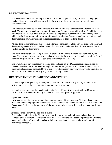# <span id="page-20-0"></span>**PART-TIME FACULTY**

The department may need to hire part-time and full-time temporary faculty. Before such employment can be offered, the chair will consult with the faculty from the relevant program for their input and recommendation.

Part-time faculty must be available for consultation with students either before or after classes they teach. The department shall provide space for part-time faculty to meet with students. In addition, parttime faculty will receive university email accounts and provide students with their university email address to facilitate opportunities for questions and consultation. Part-time faculty must conform to all department and university policies and procedures related to their teaching duties.

All part-time faculty members must receive a formal orientation conducted by the chair. The chair will develop the procedure, format and content of the orientation, and make this information available in written form to the department.

The chair must assign a "teaching mentor" to each part-time faulty member, as determined by the chair. The teaching mentor must be a member of the senior faculty (tenured associate or full professor) from the program within which the part-time faculty member is teaching.

The evaluation of part-time faculty teaching shall be based on (a) IDEA scores and the department subjective evaluations for each course taught each semester, (b) review of course materials, and (c) classroom observations conducted by two senior faculty members per year, which will be submitted to the chair. One of the senior faculty may be the "teaching mentor."

# <span id="page-20-1"></span>**REAPPOINTMENT, PROMOTION AND TENURE**

[University policies guide department policy. Consult with the University Faculty Handbook for official university policy on reassignment, promotion and tenure.]

It is highly recommended that faculty anticipating any RPT application meet with the Department Chair and at least one senior faculty member in the semester prior to application.

#### **Department Voting**

Only tenured faculty vote on reappointment, promotion, and tenure matters. All tenured and tenuretrack faculty vote on programmatic matters. All full-time faculty vote on routine business matters. The Department Chair determines the type of discussion and whose vote will be solicited on a case-by-case basis.

#### **External Review for Promotion and Tenure**

The candidate will advise the Chair of his/her desire to use external reviewers no later than the semester prior to the formal application for RPT. At that time the candidate will provide the Chair the names and address of three individuals (excluding the candidate's doctoral advisory/dissertation committee members).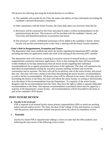The process for soliciting and using the External Reviews is as follows:

- a) The candidate will provide for the Chair the names and address of three individuals (excluding the candidate's advisory/dissertation committee).
- b) After consultation with the Senior Faculty, the Chair shall select two reviewers from the list.
- c) Reviewers will be contacted by the Chair and asked to make a written recommendation on the promotion/tenure decision. The reviewers will be provided with the candidate's dossier, and University and Department policies on promotion and tenure.
- d) The reviewers' written, confidential assessment will be added to the candidate's dossier. Senior Faculty will see this assessment prior to the Chair's meeting with the Senior Faculty members.

#### **Chair's Role in Reappointment, Promotion and Tenure**

The department chair must establish and notify the faculty regarding the department RPT calendar including due dates for application within one week of the posting of the university RPT calendar.

The department chair will convene a meeting in executive session of tenured faculty to consider reappointment, promotion and tenure applications. Prior to that meeting the chair will have solicited written feedback (to be kept anonymous) from all senior faculty regarding their individual recommendations for or against promotion and tenure of the applicants. The chair will summarize the individual recommendations during the executive sessions meeting, facilitate and record the conversation and its outcome. The chair will call for an advisory vote of the senior faculty, and record that vote. The chair will write a memo to the Dean documenting the senior faculty's recommendation as well as his/her recommendation. All diverse views will be reflected in the memo. Five days prior to forwarding the dossier to the Dean, the chair will inform the senior faculty, in writing or electronically, as to the nature of the recommendation from the Department. If a majority of the senior faculty disagrees with the recommendation from the Chair, they have the right to submit a separate elaborated recommendation to the Dean. One separate recommendation is permitted which must be signed by a majority of the Department's senior faculty. All recommendations will be forwarded to the Dean as part of the candidate's RTP dossier.

#### <span id="page-21-0"></span>**POST-TENURE REVIEW**

#### **a. Faculty to be reviewed**

PTR is required of all tenured faculty whose primary responsibilities (50% or more) are teaching and/or research and/or service. The chair, the dean of the College of Arts and Sciences, in concert with the provost, shall determine whether that person meets the criteria for mandatory review.

#### b. **Timetable**

Faculty for whom PTR is required must undergo a review no later than the fifth academic year following the most recent of the following review events: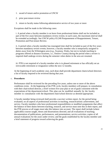- 1. award of tenure and/or promotion at UNCW
- 2. prior post-tenure review
- 3. return to faculty status following administrative service of two years or more

Exceptions shall be made in the following cases:

i. A period when a faculty member is on leave from professional duties shall not be included as part of the five years between mandatory review events; in such cases, the maximum interval shall be extended accordingly. See UNCW policy 03.240 Postponement of Reappointment, Tenure, Promotion and Post-tenure Review.

ii. A period when a faculty member has reassigned time shall be included as part of the five years between mandatory review events; however, a faculty member who is temporarily assigned to duties away from the Wilmington area (e.g., Swansea, Wales, but not to include teaching in programs offered at distance locations, i.e., Onslow County) during the period when a review is required shall undergo review during the semester when duties in the area are resumed.

iii. PTR is not required of a faculty member who is in phased retirement or has officially set an irrevocable retirement or resignation within the next 12 months.

At the beginning of each academic year, each dean shall provide department chairs/school directors a list of faculty required to be reviewed during that year.

#### c . **Procedures**

Performance shall be reviewed for the preceding five years, unless one or more of the above conditions exists. At the beginning of the PTR cycle, faculty members will prepare, in consultation with their chair/school director, a brief written five-year plan or set of goals consistent with the expectations of the department/school. This plan can be modified annually by the faculty member in consultation with the department chair/school director as deemed appropriate.

A faculty member being reviewed shall provide a succinct written report, for the period being evaluated, on all aspects of professional activities in teaching, research/artistic achievement, and service. Faculty members who have professional responsibilities or modified assignments that affect the balance of their duties between teaching, research, and service must note this in their report, and the PTR process at all stages must take this balance into account. The report shall include (where applicable) courses taught, theses and dissertations directed, and all evaluations of teaching; documentation of publications, performances, and presentations; service activities; copies of all annual evaluations for the years under review; and the goals established by the faculty member and a brief statement of progress toward achieving the goals.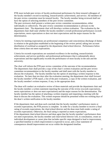PTR must include peer review of faculty professional performance by three tenured colleagues of the faculty member's record in teaching, research/artistic achievement, and service. All members of the peer review committee must be tenured faculty. The faculty member being reviewed shall not have the option of selecting members of the peer review committee.

The peer reviewers shall present a written peer review committee recommendation, either individually or collectively. The peer review committee recommendation is advisory to the department chair. The department chair will develop a written evaluation. The evaluation by the department chair shall state whether the faculty member's overall professional performance *exceeds expectations*, *meets expectations* or *does not meet expectations* and the major reasons for the determination.

Criteria for meeting expectations are professional competence and conscientious discharge of duties in relation to the goals/plan established at the beginning of the review period, taking into account distribution of workload as assigned by the department chair/school director. Performance below these criteria does not meet expectations.

Criteria for exceeds expectations are sustained excellence in the teaching, research/artistic achievement, and service portfolio; and professional performance that is substantially above expectations and that significantly exceeds the performance of most faculty in the unit and the university.

The chair will inform the PTR peer review committee of the outcome of the recommendation. The department chair shall provide a copy of the chair's written evaluation and the peer review committee recommendation to the faculty member and shall meet with the faculty member to discuss the evaluation. The faculty member has the option of attaching a written response to this evaluation. No later than ten days after the evaluation meeting, the department chair shall forward the faculty member's PTR report, a list of the peer evaluators, a copy of the written evaluation, and the faculty member's written response, if any, to the appropriate dean.

The dean will conduct an evaluative review of these materials and provide the department chair and the faculty member a written statement reporting the outcome of the review (*exceeds expectations, meets expectations or does not meet expectations*) and the major reasons for the determination. The faculty member has the option of attaching a written response and requesting a meeting with the dean to discuss the evaluation. This written response should be presented within ten working days of the dean's written notification to the faculty member.

If the department chair and dean each conclude that the faculty member's performance meets or exceeds expectations, the PTR process is complete. In order for a faculty member to receive a final rating of exceeds expectations, the chair/school director and the dean must both render a rating of exceeds expectations. Otherwise, the final rating is reported as meets expectations. If the department chair/school director and dean agree that the faculty member's performance does not meet expectations, the faculty member and chair/school director will, in consultation, create an individual development or career plan that includes specific steps designed to lead to improvement, a specified timeline in which improvement is expected to occur, and a clear statement of consequences should improvement not occur within the designated timeline.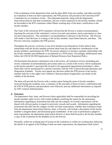If the evaluations of the department chair and the dean differ from one another, and either provides an evaluation of does not meet expectations, the PTR process will proceed to the University RTP Committee for an evaluative review. The submitted materials, along with the department chair/school director and dean evaluations, and any written responses by the faculty member, should be forwarded to the RTP committee within fifteen working days of the dean's notification to the faculty member.

The Chair of the University RTP committee will provide the Provost a written recommendation reporting the outcome of the committee's review (*exceeds expectations, meets expectations or does not meet expectations*). The committee's recommendation is advisory to the Provost. The Provost will render a final decision, in writing, to the faculty member, chair/school director, and dean. The Provost's decision completes the PTR process.

Throughout the process, reviewers at any level should recuse themselves if they believe their relationship with the faculty member prevents them from fair and objective consideration of the faculty member's performance for PTR. No person related to or having a romantic relationship with the faculty member may deliberate or recommend on a PTR action. Accordingly, deliberations must follow the UNCW 08.190 Employment of Related Persons (Anti-Nepotism) Policy.

All documents that played a substantive role in the review, all evaluative reviews (including peer review committee recommendations) and actions taken as a result of the review will be maintained in the faculty member's personnel file located in the appropriate department/school/dean's office. These files will be maintained for a period consistent with the UNC General Records Retention and Disposition Schedule. Faculty may appeal any decision within the PTR process if the faculty member feels his or her rights were violated or that procedural irregularities cast doubt on the validity of the decision.

The dean will provide the Provost with a written report listing the name of faculty members reviewed during the academic year, a summary of the outcomes of those reviews, confirmation that all UNCW PTR policies and procedures were followed, and any additional information as required by UNC General Administration.

#### **d. Outcomes**

The department chair, dean, and Provost (when applicable) shall be responsible for providing the faculty member under review with written feedback clarifying the reason for the assessment. Information regarding an assessment that falls into the category of exceeds expectations will be shared with relevant parties in regard to university rewards and awards. Information regarding the assessment that falls into the category of does not meet expectations, whether that evaluation comes from the department chair/school director, dean, or Provost, will include a description of the faculty member's assigned duties and directional goals established. In the case of performance judged to meet expectations, the department chair/school director or dean shall forward to the faculty member a copy of the evaluation by the deadline set by the Provost.

Normally, within ten working days of receipt of the evaluation or within ten working days following the denial of an appeal of the finding of does not meet expectations, the department chair/school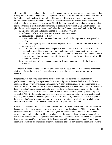director and faculty member shall meet and, in consultation, begin to create a development plan that is the product of mutual negotiation. The plan should respect professional self-direction and should be flexible enough to allow for alteration. The plan should represent both a commitment to improvement by the faculty member and to the support of that improvement by the department chair/school director, dean and institution. Establishment of a development plan is not a disciplinary action; rather it is a mechanism for committing to specific development goals and strategies. The plan should be developed within one month after the initial meeting and shall include the following:

- 1. specific strategies and steps designed to lead to improvement,
- 2. delineation of specific outcomes that constitute improvement,
- 3. resources to be committed, if any,
- 4. a specified timeline, not to exceed three years, in which the improvement is expected to occur,
- 5. a statement regarding new allocation of responsibilities, if duties are modified as a result of an assessment,
- 6. a statement of the process by which performance under the plan will be evaluated and feedback provided to the faculty member, including possible peer mentoring processes, and clear specification of who will conduct the evaluation. The evaluation must include at least semi-annual progress meetings with the department chair/school director, followed by a report to the dean.
- 7. a clear statement of consequences should the improvement not occur in the designated timeline.

The faculty member and the department chair shall sign the development plan, and the department chair shall forward a copy to the dean who must approve the plan and any resources to be committed.

Progress toward achieving goals in the development plan will be reviewed in subsequent performance reviews by the department chair, who will provide detailed feedback to the faculty member. These reviews will occur semiannually. A copy of these reviews will be provided to the dean. At the end of the time specified in the development plan, the department chair will review the faculty member's performance and make one of the following recommendations: (1) the faculty member's performance has improved and no further action is necessary pending the next regularly scheduled PTR, (2) the faculty member's performance has improved but not to the expected level, requiring adjustments in the developmental plan and/or the faculty member's workload, or (3) the faculty member's performance continues to be below expectations, in which case the chair/school director may recommend to the dean the imposition of appropriate sanctions.

If the dean agrees with the department chair/school director recommendation that no further action is necessary, the review process stops pending the next regularly scheduled PTR, i.e. the date five years from the original PTR date. If the dean agrees with the recommendation for adjustments in the development plan and/or workload, the changes are implemented and the performance will be reevaluated semiannually. The post tenure review stops when the performance meets the expected level within the specified timeframe. If the dean agrees with the department chair/school director recommendation for the imposition of serious sanctions, the dean forwards this recommendation to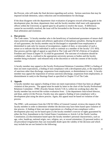the Provost, who will make the final decision regarding such action. Serious sanctions that may be imposed include demotion, salary reduction and recommendation for discharge.

If the dean disagrees with the department chair evaluation of progress toward achieving goals in the development plan, the dean, department chair and the faculty member shall meet with appropriate offices within the University as agreed upon by all parties to resolve the issues. If differences cannot be successfully resolved, the issue will be forwarded to the Provost or his/her designee for final arbitration and resolution.

#### **e. Due process**

The Code states: "A faculty member who is the beneficiary of institutional guarantees of tenure shall enjoy protection against unjust and arbitrary application of disciplinary penalties. During the period of such guarantees, the faculty member may be discharged or suspended from employment or diminished in rank only for reasons of incompetence, neglect of duty, or misconduct of such a nature as to indicate that the individual is unfit to continue as a member of the faculty" (VI: 603). Due process and the right of appeal as specified in The Code and UNCW's Policies of Academic Freedom and Tenure (Chapter IV.A) shall be guaranteed. The outcome of evaluation should be confidential—that is, confined to the appropriate university persons or bodies and the faculty member being evaluated—and released only at the discretion or with the consent of the faculty member.

A faculty member may appeal to the Faculty Professional Relations Committee (FPRC) a finding of does not meet expectations, a finding of non-compliance with a development plan, or the imposition of sanctions other than discharge, suspension from employment, or diminishment in rank. A faculty member may appeal the imposition of serious sanctions (discharge, suspension from employment, or diminishment in rank) to the Hearings Panel as specified in Chapter VI of The Code.

#### **f. Appeals**

A faculty member may appeal a finding of does not meet expectations if there has been an alleged violation of due process. The appeal must be made by letter to the chair of the Faculty Professional Relations Committee - FPRC (Faculty Senate Article V.B.1), within ten working days after the faculty member has received the written evaluation from: 1) the department chair/school director, and dean, and/or (2) the Provost. Faculty may also appeal a finding of non-compliance with a development plan using the above process. Again, this appeal must be based on violation of due process.

The FPRC, with assistance from the UNCW Office of General Counsel, reviews the request of the faculty member in order to determine whether the decision may have been based upon violation of due process. A finding of does not meet expectations or a finding of non-compliance with a development plan may not be based upon (1) the faculty member's exercise of rights guaranteed by either the First Amendment to the United States Constitution or Article I of the North Carolina Constitution; (2) discrimination based upon the faculty member's personal characteristics, such as age, color, handicap, national origin, race, religion, sex, or sexual orientation; (3) personal malice; or (4) procedural irregularities that cast reasonable doubt upon the validity of the decision and which may include but are not limited to the following: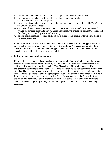- i. a process not in compliance with the policies and procedures set forth in this document
- ii. a process not in compliance with the policies and procedures set forth in the departmental/school/college PTR policy
- iii. a process not in compliance with existing policies of faculty evaluation published in The Code or the UNCW Faculty Handbook
- iv. a finding of does not meet expectations that is inconsistent with the faculty member's annual evaluations for the period under review, unless reasons for the finding are both extraordinary and also clearly and reasonably articulated in writing
- v. a finding of non-compliance with a development plan that is inconsistent with the terms stated in the development plan.

Based on issues of due process, the committee will determine whether or not the appeal should be upheld and communicate a recommendation to the Chancellor or Provost, as appropriate. If the Chancellor or Provost decides to uphold the appeal, the PTR process will be reinitiated. If the appeal is not upheld, the PTR process is concluded.

#### **g. Failure to agree on a development plan**

If a mutually acceptable plan is not reached within one month after the initial meeting, the currently existing mediation process of the University shall be utilized. If a mediated settlement cannot be achieved utilizing this process, the Associate Vice Chancellor of Human Resources or his/her designee shall advise adjustment by the dean, and the dean shall act as arbitrator in the development of a plan. The dean has the authority to utilize appropriate University offices and services to assist with achieving agreement on the development plan. If, after arbitration, a faculty member refuses to formulate the development plan, the dean will refer the faculty member to the Provost for final arbitration and resolution. Failure of the faculty member to participate in good faith toward the creation of the development plan may result in the imposition of sanctions up to and including dismissal.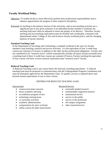# <span id="page-28-0"></span>**Faculty Workload Policy**

- Objective: To enable faculty to most effectively perform their professional responsibilities and to enhance opportunities for progress in their respective disciplines.
- Rationale:As teaching is the primary mission of the university, and as non-teaching activities are a significant part in any given semester of an individual faculty member's workload, the teaching load must often be adjusted to insure the quality of its delivery. Therefore, faculty teaching and non-teaching expectations must be flexible and coordinated, consistent with departmental needs, College of Arts and Sciences faculty workload policy, and the changing patterns of faculty interests.

#### **Standard Teaching Load**

In the Department of Sociology and Criminology a standard workload is the sum of a faculty member's total teaching, research and service activities. It is the equivalent of four 3-credit hour courses per semester (12 hours), in addition to the other faculty professional obligations. Faculty who are considered to be "research active" (which automatically includes all junior faculty) normally have a teaching load of three 3-credit hour courses per semester (9 hours). Faculty teaching the equivalent of four courses will have a lower research expectation than "research active" faculty.

#### **Reduced Teaching Load**

A Reduced Teaching Load is one course below the full load, including equivalents. A reduced teaching load must be proposed in communication with the Undergraduate Program Coordinator and must be ultimately approved by the Department Chair. To qualify, activity is required above and beyond normal expectations in one or more criteria.

#### *CRITERIA FOR REDUCED TEACHING LOAD*:

- course/curriculum concerns
- heavy academic advising
- accreditation program review
- technology training leave
- co-curricular activities
- academic administration
- compensation for prior overload
- online courses & other instructional

#### Instructional Research/Service

- externally funded research
- institutionally supported research
- institutional service
- service to the public
- service to the profession
- off campus assignment
- other research/service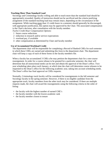#### **Teaching More Than Standard Load**

Sociology and Criminology faculty willing and able to teach more than the standard load should be appropriately rewarded. Quality of instruction should not be sacrificed and the criteria justifying assignment of the standard teaching load may remain intact, depending on the circumstance of the assignment. While teaching more than 12 credit hours in a semester should generally be discouraged, with appropriate justification, this option may be approved by the Chair. The associated compensation is the Chair's decision, after consultation with the faculty member.

*Twelve Credit Hour Compensation Options*:

- 1 future course reductions
- 2 reduction in research and/or service expectations
- 3 overload pay, if available
- 4 other compensation as determined by Chair and faculty member

#### **Use of Accumulated Workload Credit**

The department chair will be responsible for completing a Record of Banked CHEs for each semester in which these CHEs are earned and submitting this form to the department chair. The department chair will keep a copy of each of these forms in the faculty members file.

When a faculty has accumulated 3 CHEs s/he may petition the department chair for a one-course reassignment. In order for a course release to be granted for a particular semester, the chair will determine that all instructional needs can be met and obtain the approval of the Dean's office. Twoyear scheduling takes place each January, at which time the chair will determine course releases to be requested to the Dean's office for the following academic year, taking into account scheduling needs. The Dean's office has final approval on CHEs requests.

Normally, Criminology track faculty will be considered for reassignments in the fall semester and Sociology faculty in the spring semester. However, if there is no eligible candidate from the appropriate track, faculty members from the other track may be considered. If there are multiple requests made, the chair will award the reassignments using the following criteria in the order of listing:

- the faculty with the highest number of earned CHE's
- the faculty member with the lowest academic rank
- the faculty member closest to tenure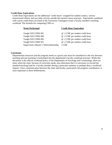#### **Credit Hour Equivalents**

Credit Hour Equivalents are the additional "credit hours" assigned for student contact, various instructional efforts, and any other activity outside the normal course structure. Equivalents combined with course credit hours (as listed in the University Catalogue) create a faculty member's teaching workload. The formula for computing CHEs is:

| <b>Work Performed</b>                   | <b>Credit Hour Equivalent</b>    |  |  |
|-----------------------------------------|----------------------------------|--|--|
| Taught SOC/CRM 491                      | @ .2 CHE per student credit hour |  |  |
| Taught SOC/CRM 498                      | @ .2 CHE per student credit hour |  |  |
| Taught SOC/CRM 499                      | @ .2 CHE per student credit hour |  |  |
| Taught SOC/CRM 591                      | @ .2 CHE per student credit hour |  |  |
| Supervised a Master's Thesis/Internship | 1 CHE                            |  |  |

#### **Conclusion**

Departmental resources and the program needs in a given year must be considered as the mix between teaching and non-teaching is formulated into the department's faculty workload structure. While this document is the official workload policy of the Department of Sociology and Criminology, there are times when the chair, because of curricular needs, may determine that it is necessary to exceed the standard teaching load for a faculty member during a particular semester or perhaps deny a workload request. Close communication between the chair and faculty, particularly the program coordinators, is most important in these deliberations.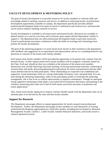# <span id="page-31-0"></span>**FACULTY DEVELOPMENT & MENTORING POLICY**

The goal of faculty development is to provide resources for faculty members to cultivate skills and knowledge related to teaching, research, and service. In addition to informing faculty of professional development opportunities available on campus, the department specifically provides allotted professional development funds to be spent on travel to conferences and resources (ex. software) that can be used to enhance teaching, research or service.

Faculty development is available to all tenure-track and tenured faculty. Resources are available to phased retirees on a case-by-case basis and to lecturers upon request and the department's ability to support it. The department does not offer professional development funds to part-time instructors. Travel to professional association conferences within the fields of sociology and criminology have priority for faculty development.

The goal of the mentoring program is to assist tenure-track faculty in their transition to the department, offer feedback and suggestions as to expectations and improvement, and act as a sounding board for any questions or concerns of the tenure-track faculty member.

Each tenure-track faculty member will be provided the opportunity to be paired with a mentor from the tenured faculty. At their request tenure-track faculty members will be assigned a volunteer mentor by the Chair. Each pair should set their own schedule at the initiation of the tenure-track member. Interactions may include observing classroom teaching, reviewing instructional materials, conferring on research plans and needs, discussing departmental expectations for tenure and promotion and any other issues deemed relevant by both participants. These relationships are expected to be confidential and supportive. Good mentoring is built on a strong relationship of honesty, trust, and good faith. If at any time during the mentoring relationship, either of the participants prefers to terminate the mentoring arrangement, s/he is free to do so without repercussions or negative consequence. Though we anticipate strong supportive mentoring to help shape a successful bid for promotion and tenure, participating in the voluntary mentoring policy does not in and of itself ensure successful outcomes of promotion and tenure applications.

Also, tenure-track faculty opting not to request a mentor should consult with the department chair on an alternate plan, to be devised by the chair and that faculty member.

#### <span id="page-31-1"></span>**Support for Research**

<span id="page-31-2"></span>The Department encourages efforts to expand opportunities for faculty research and professional development. Further, the Department encourages faculty members to avail themselves of existing professional development opportunities for which they qualify, including but not limited to: Research Reassignment Awards, Charles L. Cahill Awards, Summer Research Initiatives, and faculty travel to research sponsored awards.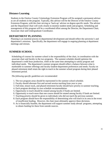# **Distance Learning**

Students in the Onslow County Criminology Extension Program will be assigned a permanent advisor as are all students in the program. Typically, this advisor will be the Director of the Onslow County Extension Program, with the chair serving as 'back-up' advisor on degree-specific needs. The advisor and the Department Chair will work closely to monitor student needs and progress. Scheduling and management of this program will be a coordinated effort among the Director, the Department Chair, Associate chair and Undergraduate Coordinator.

# <span id="page-32-0"></span>**DEPARTMENT PLANNING**

Planning is an essential process in departmental development and should reflect the university's and department's missions. Specifically, the department will engage in ongoing planning at department meetings and retreats.

# <span id="page-32-1"></span>**SUMMER SCHOOL**

Scheduling of courses for summer school is the responsibility of the chair, in coordination with the associate chair and faculty in the two programs. The summer schedule should optimize the department's credit hour production, while at the same time attempting to satisfy program and individual needs. The department's summer program should reflect a balance between what is marketable in summer offerings and faculty-student-department preferences and needs. Faculty on phased retirement shall retain the right to teach in the summer school program during their phased retirement period.

#### *The following specific guidelines are recommended*:

- 1. The two program areas should be represented in the summer school schedule.
- 2. Faculty should alternate first and second session teaching from year to year.
- 3. Full-time, tenure track, and phased retirement faculty should have priority in summer teaching.
- 4. Each program develops its own schedule recommendation.
- 5. Opportunity to teach should be rotated among faculty if funds are limited.
- 6. Opportunity to teach more than one course should be rotated among faculty if funds are limited.
- 7. Teaching priority should be given to individuals who did not teach the previous summer.
- 8. Each program should have the responsibility of determining who will teach in its area in the event of insufficient funding. However, the chair must ultimately approve these decisions.
- 9. As is financially feasible, the department will support summer study abroad programs, attempting to obtain funding for these from outside sources.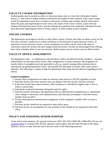# <span id="page-33-0"></span>**FACULTY COURSE INFORMATION**

Student grades may be posted on office or classroom doors only in a form that will protect student privacy i.e. that will not enable students to determine the grades of other students. Each course taught within the department must have a written (or electronic) syllabus that includes specific information about the goals and requirements of each course, the nature of the course content, course-relevant Student Learning Outcomes (SLOs), and the methods of evaluation to be employed. Individual faculty have discretion regarding the return of exams, papers, or other student work to students.

# <span id="page-33-1"></span>**ONLINE COURSES**

The department encourages its faculty to offer online courses. Faculty who offer an online course for the first time will have a reduction in course enrollment to 20 maximum in upper division courses, 25 maximum in lower division courses. Course enrollments for online courses will be the same as classroom courses for faculty who have taught online previously. Faculty are discouraged from offering their entire schedule online in any one semester. Both summer session courses may be offered online.

# <span id="page-33-2"></span>**FACULTY OFFICE ASSIGNMENTS**

The department chair – in collaboration with the Dean's office and affected faculty members – assumes responsibility for decisions about faculty office assignments. In many situations, the assignment of faculty offices is straightforward and agreeable to all (e.g., merely rotating offices between the incoming and out-going department chair). Occasionally the allocation of faculty office space poses a dilemma. The following is a guide to help the department chair make the best decision regarding faculty offices.

#### **General Guidelines:**

- 1. Faculty office assignments are based on seniority (time served at UNCW) regardless of rank.
- 2. Full-time faculty with more seniority may not displace full-time faculty with less seniority.
- 3. If full-time faculty have equal seniority, office preference is decided by highest rank or first to achieve current rank.
- 4. Individuals on phased retirement relinquish seniority rights.
- 5. Full-time faculty returning to the department after an administrative assignment (e.g., department chair, college or university–level administration, director) may not displace a full-time faculty member from an office.
- 6. Faculty returning from administrative assignment will be assigned a suitable office as soon as possible.
- 7. Full-time faculty should not be required to share office space.
- 8. Full-time faculty on reassignment for one semester or less should not be required to share their office.

# <span id="page-33-3"></span>**POLICY FOR ASSESSING SENIOR SEMINAR**

At the end of each semester, all capstone instructors (SOC 495, SOC/CRM 496, CRM 495) will use our [capstone rubric](#page-53-0) to evaluate their all their capstone course papers and will enter the data in the online Qualtrics survey no later than the end of the first week of the following semester.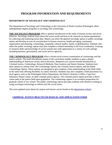# **PROGRAM INFORMATION AND REQUIREMENTS**

# <span id="page-34-0"></span>**DEPARTMENT OF SOCIOLOGY AND CRIMINOLOGY**

The Department of Sociology and Criminology at the University of North Carolina Wilmington offers undergraduate degree programs in sociology and criminology.

**THE SOCIOLOGY PROGRAM** offers a general introduction to the study of human society and social behavior. Sociology students learn about the social world and how to do research on human populations by collecting and analyzing social data. Majors can select the general sociology option or public sociology option and develop an area of concentration in human resources, health and aging, community organization and planning, criminology, inequality cultural studies, family or globalization. Students who select the public sociology option may also complete a related internship in the local community. Training in research skills and knowledge of social systems has wide application in a variety of work settings including business, government, and social service agencies.

**THE CRIMINOLOGY PROGRAM** offers a broad social science examination of criminology and the justice system. The multi-disciplinary nature of the curriculum enables students to gain a deeper understanding of American society and its diversity. Required core courses include Introduction to Criminal Justice, Criminology, Research Methods, Data Analysis and Senior Seminar. Students have three options to choose from: the Criminology Option, the Criminal Justice Option, and the Public Criminology Option. These options are designed to give students a firm understanding of the field while at the same time offering flexibility in course selection. Students may also complete a field placement in a local agency such as the Wilmington Police Department, the District Attorney's Office, Cape Fear Substance Abuse Center, or other criminal justice agency. The criminal justice option provides a direct career path in the justice field upon graduation. The criminology option is an excellent preparation for graduate school or law school. The public criminology option provides students with intensive training in using sociology/criminology to inform real life social issues.

The most updated track sheets for majors and minors can be found on the [department website.](https://uncw.edu/soccrm/)

# <span id="page-34-1"></span>**[CRIMINAL JUSTICE PRACTICUM MANUAL AND APPLICATION FORM](http://www.uncw.edu/soccrm/programs/CRM490%20Practicum%20Manual%20Updated%20March%202016.doc)**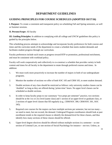# **DEPARTMENT GUIDELINES**

# <span id="page-35-1"></span><span id="page-35-0"></span>**GUIDING PRINICIPLES FOR COURSE SCHEDULES (ADOPTED 10/17/16)**

**I. Purpose:** To create a consistent and transparent policy on scheduling Fall and Spring semesters, as well as Summer sessions.

#### **II. Persons/Scope:** All faculty

**III. Guiding Principles:** In addition to complying with all college and UNCW guidelines this policy is guided by the principles below.

This scheduling process attempts to acknowledge and incorporate faculty preferences for both courses and times and the curricular needs of the department to create a schedule that meets student demands and facilitates student progress through our curriculum.

Faculty preferences include such issues as progress toward RTP or promotion, professional enrichment, and must be consistent with workload policy.

Faculty will work cooperatively and collectively to co-construct a schedule that provides variety in both content and times for all faculty in the department to rotate through preferred courses and times. In addition:

- 1. We must work more proactively to increase the number of majors in both of our undergraduate programs.
- 2. Monitor the number of sections we offer of both SOC 105 and CRM 105, to meet student demand.
- 3. Double sections of any class should be restricted as follows: only university studies classes can be 'doubled' so long as they are offered during 'prime-time' hours. No upper level classes can be scheduled as double sections.
- 4. In order to keep faculty preps to our customary "two preps per semester" practice, two sections should be at the 1xx or 2xx level (same class) and 1 section of an upper-level or graduate class, or 2 sections of upper level classes that fill regularly (e.g., CRM/SOC 300, CRM/SOC 301, SOC 345).
- 5. Required core courses for the majors can have multiple sections per semester, but not too many we need to meet, but not exceed, the demand. Undergrad Program coordinators should look at past enrollment trends in the required classes to identify the demand-level for these classes, and thus identify how many sections of these classes should be offered.
- 6. Upper-level degree electives should be offered without multiple sections in a semester so one section of Criminal Law, or one section of Social Psychology for instance – not two. Unless, as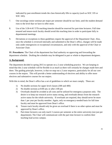indicated by past enrollment trends the class historically fills to capacity (such as SOC 335 or SOC 345).

- 7. One sociology senior seminar per major per semester should be our limit, until the student demand rises to the level that we have to offer more.
- 8. Use of the 3:30-4:45 T/Th teaching timeslot should be reserved for part-time lecturers. Full time tenured and tenure-track faculty should avoid this teaching time in order to participate fully in departmental meetings.
- 9. Deviations or exceptions to these guidelines require the approval of the Department Chair. Also, once the schedule is reviewed internally and submitted to the Dean's office, changes will be made only under emergencies or exceptional circumstances, and only with the approval of the Chair or Associate Chair.

**IV. Procedures:** The Chair of the department has final authority on approving and forwarding the department schedule. Drafting the schedule may be delegated in part or whole to department designees.

#### **A. Background:**

The department decided in spring 2015 to operate on a 2-year scheduling practice. We are keeping in mind that this 2-year schedule will be flexible in as much as there will certainly be changes made here and there. The guiding principle, however, is that we map out a 2-year sequence, particularly for all our core courses in the majors. This will provide a better understanding of electives and ability to offer more electives and substantive courses for our majors.

With this in mind, the Dean's office has a set of guidelines to which we must comply. These are:

- 1) No double sections for upper level classes (300 and 400)
- 2) No double sections at 8:00 am; or after 2:00 pm
- 3) Overloads should be avoided at all costs and be utilized for emergency purposes only. The desire is to keep our research active status strong, and overloads detract from the research active status for the whole university. If overloads are required, they should never be more than 1 per year per faculty member. Again, only on emergency-needed basis for full time faculty and must be approved from Dean's office.
- 4) Tenure track faculty should only be given an overload if there is no other option and must be approved by Dean's office.
- 5) Part-timer lecturers can only teach 3 courses per semester at the entire university (not just per department). The Chair will communicate with the part time lecturer to confirm their teaching load across campus.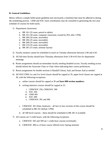#### **B. General Guidelines:**

Below reflects a simple bullet-point guideline (not necessarily a timeline) that must be adhered to during the scheduling process. CRM and SOC track coordinators may be consulted in generating the two-year schedule of courses for both tracks.

- 1) Department classrooms:
	- a. BR 101 (35 seats; paired in tables)
	- b. BR 161 (30 seats; computer classroom; owned by PIA after 3 PM)
	- c. BR 200 (34 seats; moveable)
	- d. BR 206 (35 seats; moveable)
	- e. BR 208 (35 seats; moveable)
	- f. BR 219 (35 seats; moveable)
	- g. BR 281 (15 seats; seminar layout)
- 2) Faculty senators cannot be scheduled to teach on Tuesday afternoons between 2:00 and 4:45.
- 3) All full-time faculty should have Thursday afternoons from 3:30-4:45 free for department meetings
- 4) Room assignments should accommodate faculty needing disabled access. Faculty needing access should inform the Associate Chair or Chair when indicating their course preferences.
- 5) Room assignments for double sections is Randall Library Aud, and Kenan Aud as needed.
- 6) All SOC/CRM 1xx and 2xx level classes should be capped at 35; upper level classes are capped at 30, with the following exceptions:
	- a. online courses should be capped at 30 and **have 800 section numbers.**
	- b. writing intensive courses should be capped at 25:
		- i. CRM/SOC 256, CRM/SOC 300
		- ii. SOC 304
		- iii. CRM 495
		- iv. SOC 490
		- v. CRM/SOC 391 and 496
	- c. CRM/SOC 301 (Data Analysis) all face to face sections of this course should be scheduled in BR 161 (before 3 PM)
	- d. all 500-level courses these should be scheduled in BR 281 if available
- 7) All courses are 3 credit hours, with the following exceptions:
	- a. CRM/SOC 505 and 509 are 1 credit hour courses (overloads)
	- b. CRM/SOC 496 is a 6-hour course offered every Spring semester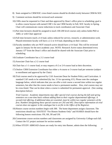- 8) Seats assigned to CRM/SOC cross-listed courses should be divided evenly between CRM & SOC
- 9) Comment sections should be reviewed each semester
- 10) CHEs must be requested to Chair and then approved by Dean's office prior to scheduling; goal is to allow course buyout with earned CHE's for one CRM faculty in Fall, SOC faculty in Spring. Chair will communicate course reductions to track coordinators and Associate Chair
- 11) Part time lecturers should be assigned to teach 100-200 level courses only unless holds PhD or ABD, or with Chair approval
- 12) Full time lecturers teach a 4-4 load, unless reduced for service, research, or administration work. Phased-retirement faculty will have a 2-2 or 4-0 load, depending on their contract.
- 13) Faculty members who are NOT research active should have a 4-4 load. This will be reviewed again in January for the next academic year. NOTE: Research Active status determined every January 15<sup>th</sup> from the Dean's office and should be shared with the Associate Chair prior to scheduling.
- 14) Graduate Coordinator has a 2-2 course load
- 15) Associate Chair has a 2-2 course load
- 16) Chair has a 1-1 course load, or may request a 0-2 or 2-0 course load at their discretion.
- 17) Onslow CRM Extension Coordinator has either a 4-course or 3-course load per semester (subject to enrollment and approval by the Chair)
- 18) Trial courses need to be approved by CAS Associate Dean for Student Policy and Curriculum. A standard CAF needs to be submitted (by Jan. 15 for upcoming AY). Please note the catalogue language below, which indicates that you can offer a trial course a second time within two regular semesters, but after that the course needs to have a permanent number. Also, trial courses may not be cross-listed. That can be done when a course is submitted for permanent approval. (See catalog description below):

*Trial Courses: Academic departments may offer special trial courses during the fall and spring semesters on a one-time basis without adding them to their regular departmental offerings. A second trial offering, if additional data are essential, must be within two regular semesters of the first. Numbers designating these special courses are 292 and 492. Descriptive information on trial courses does not appear in the catalogue but is on file in the Office of the Registrar.*

- 19) Honors course section numbers begin with 300. The home department assigns classroom. The restrictions should say: SSATEXT "For Honors Students Only" and SSARES should have the following honors restrictions: FH, SH, JH and UH.
- 20) Cornerstone course section numbers and classrooms are assigned by University College each fall. Contact the UC project assistant for section number.
- 21) When STUDY ABROAD classes are ready for entry into Banner, admin does the following: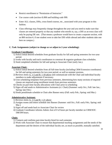- Restrict enrollment to "Permission of Instructor."
- Use course code (section #) 800 and building code 999.
- Enter ALL classes, DISs, cross-listed courses, etc., associated with your program in this fashion.
- Class offerings may frequently change throughout the year and you need to make sure that classes are entered properly so that any student who enrolls in, say, a DIS as an extra class will only be paying DE rate. (That means a professor would have to create a separate section, with an 800 section #, if one student were to take her DIS while abroad and other students take one here on campus.)

#### **C. Task Assignments (subject to change as we adjust to 2-year scheduling):**

#### **Graduate Coordinator:**

- 1) Solicit initial desired schedules from graduate faculty for fall and spring semesters for two-year period.
- 2) works with faculty and track coordinators to construct & organize graduate class schedules.
- 3) Send completed schedules for fall and spring to Associate Chair (early Jan.).

#### **Associate Chair:**

- 1) Solicit initial desired schedules from all full-time faculty (including CRM Extension coordinator) for fall and spring semesters for two-year period, as well as summer sessions.
- 2) Reviews items A. 1-5 and B. 1-18 above and communicate with the Chair and individual faculty members to make adjustments if necessary
- 3) Uses scheduling templates from previous semesters, determining how many sections of required classes are required using enrollment trends from previous semesters
- 4) Checks on part-time faculty allocations with Chair prior to scheduling
- 5) Signs off and sends to Administrative Assistants (cc: Chair) (Summer: early Oct.; Fall: late Jan.; Spring: late Feb.)
- 6) Sends penultimate schedule to Chair after Banner entry (Fall: early Feb.; Spring: mid Mar.)

#### **Administrative Assistant:**

- 1) Reviews items A. 1-5 and B. 1-21 above
- 2) Assigns rooms and enters schedule into Banner (Summer: mid Oct.; Fall: early Feb.; Spring: mid Mar.)
- 3) Signs off and sends back to Associate Chair for review
- 4) Graduate Coordinator informs Admin Asst of # of hours per faculty member on CRM/SOC 598/599 hours.

#### **Chair:**

- 1) Contacts and confirms part-time faculty hired for each semester
- 2) Work with Associate Chair to ensure that departmental teaching assignments and the needs of the department and the desires of the individual faculty are, as much as possible, mutually satisfied.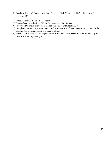- 3) Receives signed-off Banner entry from Associate Chair (Summer: mid Oct.; Fall: early Feb.; Spring mid Mar.)
- 4) Reviews items A. 1-5 and B. 1-18 above
- 5) Signs off and provides final OK for Banner entry to Admin Asst.
- 6) Approved DIS/Internship/Honors thesis hours shared with Admin Asst.
- 7) Completes Course Outlier Form (docx) and Admin or Special Assignments Form (xlsx) for the upcoming semester and submits to Dean's Office.
- 8) January: Calculates CHE and negotiates decreased and increased course loads with faculty and Dean's office for upcoming AY.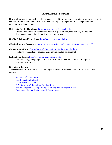# **APPENDIX: FORMS**

<span id="page-41-0"></span>Nearly all forms used by faculty, staff and students at UNC Wilmington are available online in electronic versions. Below is a summary of some of the more frequently requested forms and policies and procedures available online:

**University Faculty Handbook**: [http://www.uncw.edu/fac\\_handbook/](http://www.uncw.edu/fac_handbook/)

[Information on faculty governance, faculty responsibilities, employment, professional development, and university policies affecting faculty.]

**UNCW Policies and Procedures:** <http://www.uncw.edu/policies/>

**CAS Policies and Procedures**:<https://uncw.edu/cas/faculty/documents/cas-policy-manual.pdf>

**Course Action Forms**:<https://uncw.edu/universitystudies/faculty/index.html> [add new course, change course description, internship site approval]

#### **Instructional Forms:** <http://www.uncw.edu/reg/forms.htm>

[transient study, assigning incomplete, substitution/waiver, DIS, conversion of grade, internship enrollment]

#### **Department Forms:**

The Department of Sociology and Criminology has several forms used internally for instructional purposes:

- <span id="page-41-1"></span>• [Annual Productivity Form](#page-41-1)
- Peer Evaluation Protocol
- Peer Evaluator's Guide
- [B.A. Sociology/Criminology Grading Rubric](#page-53-0)
- [Master's Program Grading Rubric For Theses And Internship Papers](#page-53-1)
- [Department Service Assignments & Committees](#page-55-0)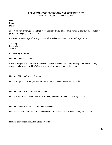#### **DEPARTMENT OF SOCIOLOGY AND CRIMINOLOGY ANNUAL PRODUCTIVITY FORM**

Name: Rank: Date:

*Report only on areas appropriate for your position. If you do not have anything appropriate to list in a particular category, indicate "N/A."*

Estimate the percentage of time spent on each area between May 1, 20xx and April 30, 20xx:

Teaching: Research: Service:

#### **I. Teaching Activities**

Number of courses taught:

Courses Taught (list as follows): Semester, Course Number, Total Enrollment (Note: Indicate if any course taught was a new UNCW course or the first time you taught the course)

Number of Honors Projects Directed:

Honors Projects Directed (list as follows):Semester, Student Name, Project Title

Number of Honors Committees Served On:

Honors Committees Served On (list as follows):Semester, Student Name, Project Title

Number of Master's Thesis Committees Served On:

Master's Thesis Committees Served On (list as follows):Semester, Student Name, Project Title

Number of Directed Individual Study Projects: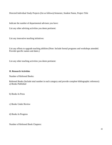Directed Individual Study Projects (list as follows):Semester, Student Name, Project Title

Indicate the number of departmental advisees you have:

List any other advising activities you deem pertinent:

List any innovative teaching initiatives:

List any efforts to upgrade teaching abilities:(Note: Include formal programs and workshops attended. Provide specific names and dates.)

List any other teaching activities you deem pertinent:

#### **II. Research Activities**

Number of Refereed Books:

Refereed Books (Include total number in each category and provide complete bibliographic reference): a) Books Published

b) Books In Press

c) Books Under Review

d) Books In Progress

Number of Refereed Book Chapters: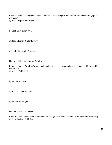Refereed Book Chapters (Include total number in each category and provide complete bibliographic reference): a) Book Chapters Published

b) Book Chapters In Press

c) Book Chapters Under Review

d) Book Chapters In Progress

Number of Refereed Journal Articles:

Refereed Journal Articles (Include total number in each category and provide complete bibliographic reference): a) Articles Published

b) Articles In Press

c) Articles Under Review

d) Articles In Progress

Number of Book Reviews:

Book Reviews (Include total number in each category and provide complete bibliographic reference): a) Book Reviews Published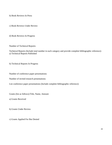b) Book Reviews In Press

c) Book Reviews Under Review

d) Book Reviews In Progress

Number of Technical Reports:

Technical Reports (Include total number in each category and provide complete bibliographic reference): a) Technical Reports Published

b) Technical Reports In Progress

Number of conference paper presentations:

Number of invited research presentations:

List conference paper presentations (Include complete bibliographic reference):

Grants (list as follows):Title, Name, Amount

a) Grants Received

b) Grants Under Review

c) Grants Applied For But Denied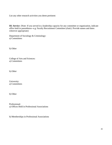List any other research activities you deem pertinent:

**III. Service** (Note: If you served in a leadership capacity for any committee or organization, indicate office held in parentheses--e.g. Faculty Recruitment Committee (chair). Provide names and dates wherever appropriate)

Department of Sociology & Criminology: a) Committees

b) Other

College of Arts and Sciences: a) Committees

b) Other

University: a) Committees

b) Other

Professional: a) Offices Held in Professional Associations

b) Memberships in Professional Associations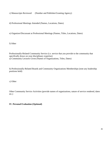c) Manuscripts Reviewed (Number and Publisher/Granting Agency)

d) Professional Meetings Attended (Names, Locations, Dates)

e) Organizer/Discussant at Professional Meetings (Names, Titles, Locations, Dates)

f) Other

Professionally-Related Community Service (i.e. service that you provide to the community that specifically draws on your disciplinary expertise) a) Community Lectures Given (Names of Organizations, Titles, Dates)

b) Professionally-Related Boards and Community Organizations Memberships (note any leadership positions held)

c) Other

Other Community Service Activities (provide names of organizations, nature of service rendered, dates etc.)

**IV. Personal Evaluation (Optional)**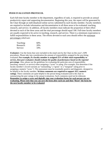#### **PEER EVALUATION PROTOCOL**

Each full-time faculty member in the department, regardless of rank, is required to provide an annual productivity report and supporting documentation. Beginning this year, the report will be generated by the Chair through an individualized online survey submitted by each faculty member. Faculty members are required to include information and documentation in all three areas to be evaluated: teaching, research, and service. In addition, all faculty members must indicate the proportion of their effort devoted to each of the three areas and the total percentage should equal 100. Full-time faculty members are usually expected to be active in teaching, research, and service. There is a minimum expectation to fulfill responsibilities in these areas. The efforts devoted to each area should reflect the *minimum percentages* which are:

| Teaching: | 60% |
|-----------|-----|
| Research: | 20% |
| Service:  | 10% |

*Evaluators*: Use the forms that were included in the email sent by the Chair on this year's APR procedures. Please take into consideration the amount of responsibility assigned in the area being evaluated. **For example, if a faculty member is assigned 25% of their total responsibility to service,** *then peer evaluators should evaluate the quality of performance based on the reported percentage*. Also, please use the guidelines for evaluating the particular area of responsibility (teaching, research, or service) when assigning a "score" or rating. (For example, first determine if the faculty member's record warrants an "outstanding," a "good," or a "marginal" rating prior to assigning a numeric "score."). The assessment must be essentially positive and diagnostic, designed to be helpful to the faculty member. **Written comments are required to support ALL numeric ratings**. These comments are quite helpful to the person being evaluated and to the chair in summarizing the peer ratings in the annual evaluations. Such comments need not be elaborate. **Remember to assign a score and digitally sign your evaluation forms for each person you are evaluating. Please note that you can save the form after each use and then "Reset" the form for the next faculty member to be evaluated**.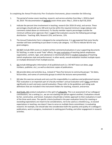In completing the *Annual Productivity Peer Evaluation Instruments*, please remember the following:

- 1. The *period of review* covers teaching, research, and service activities from May 1, 2018 to April 30, 2019. The documentation of **research** covers three years: May 1, 2016 to April 30,2019.
- 2. Indicate the percent time involvement in teaching, research (for 2018-19 only), and service. These percentages should add up to 100 and must be within the required minimum ranges (please note comments stated above on minimums). If a faculty member reports percentages outside the minimum without prior approval, then I suggest that evaluators assume the following percentage distribution: Teaching: 60%, Research 25%, and Service, 15%.
- 3. The Annual Productivity Form is designed to be comprehensive. It is not expected that every faculty member will have something to put down in every sub-category. It is fine to indicate N/A for any givencategory.
- 4. DO NOT include IDEA scores or student-written comments/evaluations in your supporting documents for teaching. In order to avoid "halo" effects, the peer evaluation of teaching (which emphasizes organization, content, rigor, and substance) is intentionally blind to student evaluation of teaching (which emphasizes style and performance). In other words, overall evaluation involves multiple inputs on multiple dimensions from multiplesources.
- 5. DO include bibliographic information of all published work (i.e. DO NOT leave out dates, page numbers, publisher, etc.), as well as electronic copies of publications.
- 6. DO provide dates and activities (e.g., instead of "Gave five lectures to community groups," list dates, lecturetitles, and names of community groups to which the lectures were presented).
- 7. DO take this exercise seriously and carry out this responsibility in a *judicious and professional* manner. Peer evaluation is an important part of a faculty member's annual evaluation and it does contribute significantly to each and every overall evaluation. Please refer to the guidelines and rating scale definitions that are included in the instrument folders for teaching, research, andservice.
- 8. And finally, DO conduct evaluations in the spirit of collegiality. This is an assessment of our colleagues' contributions, not a ranking (i.e., we are not stacking one person against another). Evaluations should be fair, constructive, and honest. Evaluators should take a holistic approach to their evaluations in each of the three work areas. The specific criteria (outlined in the peer evaluation forms) for meeting or exceeding expectations are meant to be considerations, not to be used as a checklist (e.g., to exceed expectations in teaching, one doesn't have to serve on multiple thesis committees). In evaluating research, for example, one should take into consideration both the quantity and quality of a colleague's publications, work in progress, involvement in seeking grant funding, and other engagement in research activities.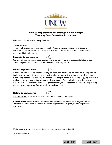

#### **UNCW Department of Sociology & Criminology Teaching Peer Evaluation Instrument**

Name of Faculty Member Being Evaluated:

#### **TEACHING:**

The overall evaluation of this faculty member's contributions to teaching is based on materials provided. Please fill in the circle that best indicates where the faculty member ranks on this 3-point scale.

#### **Exceeds Expectations:** 3



Considerations: significant accomplishments in three or more of the aspects listed in the "meets expectations" criteria below; received a teaching award.

#### **Meets Expectations:** 2



Considerations: teaching classes, revising courses, and developing courses, developing and/or implementing innovative teaching strategies; advising, mentoring students in academic matters; supervising interns, DIS, honors, MA theses; including students in research; engaging students in applied learning; engaging in professional development of self and others in a discipline (e.g., CTE workshops, webinars, conference presentations, SOTL research, innovative assignments); securing grant-supported funds for educational activities.

#### **Below Expectations:** 1



Considerations: does not meet the criterial for "meets expectations."

**Comments:** Please use the space below to comment on particular strengths and/or weaknesses in this area. If a grade of "below expectations" is given, you must provide comments.

[To be removed by chair prior to distribution to faculty member being evaluated.]

Signature of Evaluator:  $\Box$  Date:

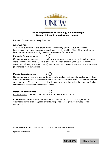

#### **UNCW Department of Sociology & Criminology Research Peer Evaluation Instrument**

Name of Faculty Member Being Evaluated:

#### **RESEARCH:**

The overall evaluation of this faculty member's scholarly activities, level of research involvement, and research record is based on materials provided. Please fill in the circle that best indicates where the faculty member ranks on this 3-point scale.

#### **Exceeds Expectations:** 3

Considerations: demonstrable success in procuring internal and/or external funding; two or more peer reviewed articles, books, edited books, book chapters (findings from scientific research in scholarly/academic presses) every three years; academic conference presentations (3 or more) every three years

#### **Meets Expectations:** 2



Considerations: at least one peer reviewed article, book, edited book, book chapter (findings from scientific research in scholarly/academic presses) every three years; academic conference presentations (1-2) every three years; involvement in seeking internal and/or external funding; demonstrates engagement in research activity

#### **Below Expectations:** 1



Considerations: Does not meet the criteria for "meets expectations"

**Comments:** Please use the space below to comment on particular strengths and/or weaknesses in this area. If a grade of "below expectations" is given, you must provide comments.

[To be removed by chair prior to distribution to faculty member being evaluated.]

Signature of Evaluator:  $\qquad \qquad$  Date:

**Send Form Reset Reset form Form**

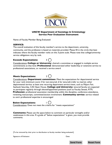

#### **UNCW Department of Sociology & Criminology Service Peer Evaluation Instrument**

Name of Faculty Member Being Evaluated:

#### **SERVICE:**

The overall evaluation of this faculty member's service to the department, university, community, and the profession is based on materials provided. Please fill in the circle that best indicates where the faculty member ranks on this 3-point scale. Please note that college/university service obligations vary by rank.

#### **Exceeds Expectations:** 3 (



Considerations: **College or University**: chaired a committee or engaged in multiple service commitments at that level. **Professional**: demonstrated either leadership or extensive service to professional associations, or received a service award

#### **Meets Expectations:** 2



Considerations: **Department committees**: Meet the expectations for departmental service for your rank (minimum score 3 for non-tenured, 6 for tenured) (refer to matrix); other departmental service: at least one recurring department service event, such as Majors Fair, Seahawk Saturday, CAS Open House. **College and University**: tenured faculty are expected to participate regularly through elected/appointed positions (such as Faculty Senate, RTP) **Profession:** professional association membership within the discipline, conference attendance, reviewing manuscripts, committee/section involvement. **Community service**: service related to one's professional expertise is encouraged

# **Below Expectations:** 1



Considerations: Does not meet the criteria for "meets expectations"

**Comments:** Please use the space below to comment on particular strengths and/or weaknesses in this area. If a grade of "below expectations" is given, you must provide comments.

[To be removed by chair prior to distribution to faculty member being evaluated.]

Signature of Evaluator:  $\Box$  Date:

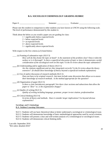#### **B.A. SOCIOLOGY/CRIMINOLOGY GRADING RUBRIC**

<span id="page-53-0"></span>Paper #: The Semester: The Semester: Evaluator Evaluator Evaluator  $\overline{E}$ 

Please rate this student in comparison to other students you have known at UNCW using the following scale. The level of performance demonstrated by this student is:

Think about the below as you would a paper you are grading for class:

- $1 =$  significantly below expected levels
- $2 =$  below expected levels
- $3 =$  at expected levels
- $4 =$  above expected levels
- $5 =$  significantly above expected levels

With respect to the five criteria (a-f) listed below:

\_\_\_\_ (a) Framing of substantive topic (SLO 3)

*How well do they frame the topic at hand? Is the statement of the problem clear? Does it skim the surface or is it thorough? Is there a superficial discussion of topic or does it demonstrates careful consideration of the sociological work on this topic? Is the lit review about the topic substantive?*

\_\_\_\_ (b) Understanding and/or application of theory (SLO 1)

*Are the citations significant and are they integrated correctly? Is the lit review about the theory extensive? (It should show knowledge of theory beyond a superficial textbook explanation)*

- \_\_\_\_ (c) Use of and/or discussion of research methods (SLO 2) *Does not have to be original research –but must include some discussion that allows us to assess their knowledge of research methods. Is the method appropriate for the question?*
- \_\_\_\_ (d) Organization of paper (SLO 3)

*Is there a clear Introductory paragraph? Are there clear sections and subsections that allow the paper to "flow" or, is the organization choppy?*

- $\equiv$  (e) Quality of writing (SLO 3) *Quality of writing including language, grammar, proper in-text citation, professionalism*
- $_{\rm (f)}$  Critical thinking (SLO 4) *In terms of theory and methods. Does it consider larger implications? Go beyond obvious explanations?*

#### **Sociology and Criminology B.A. Student Learning Outcomes**

<span id="page-53-1"></span>SLO 1: Students will use basic theoretical ideas to better understand a sociological or criminological issue. SLO 2: Students will demonstrate knowledge of basic methodological approaches used by social scientists. SLO 3: Students will present a clear and well-written analysis of a criminological or sociological issues. SLO 4: Students will demonstrate critical thinking skills.

Last edit: September 2016 "BA rubric detailed 2016"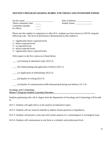#### **MASTER'S PROGRAM GRADING RUBRIC FOR THESES AND INTERNSHIP PAPERS**

Faculty name: \_\_\_\_\_\_\_\_\_\_\_\_\_\_\_\_\_\_\_\_\_\_\_\_\_ Date of defense: \_\_\_\_\_\_\_\_\_\_\_\_\_\_ Thesis committee chair \_\_\_\_\_ Student Name: \_\_\_\_\_\_\_\_\_\_\_\_\_\_\_ Committee member \_\_\_\_\_ Ex officio

Please rate this student in comparison to other M.A. students you have known at UNCW using the following scale. The level of performance demonstrated by this student is:

 $1 =$  significantly below expected levels

- $2 =$  below expected levels
- $3 =$ at expected levels
- $4 =$  above expected levels
- $5 =$  significantly above expected levels

With respect to the five criteria (a-e) listed below:

\_\_\_\_ (a) Framing of substantive topic (SLO 3)

\_\_\_\_ (b) Understanding and application of theory (SLO 1)

\_\_\_\_ (c) Application of methodology (SLO 2)

 $\qquad$  (d) Quality of writing (SLO 3)

\_\_\_\_ (e) Quality of communication skills demonstrated during oral defense (SLO 4)

#### **Sociology and Criminology Master's Program Student Learning Outcomes**

Students graduating with a M.A. degree from the Department of Sociology and Criminology will be able to:

*SLO 1:* Students will a*pply theory to the analysis of* substantive topics.

SLO 2: Students will use research methods to address formal questions or hypotheses.

SLO 3: Students will present a clear and well-written analysis of a criminological or sociological issue.

SLO 4: Students will communicate in oral form at a scholarly and professional level.